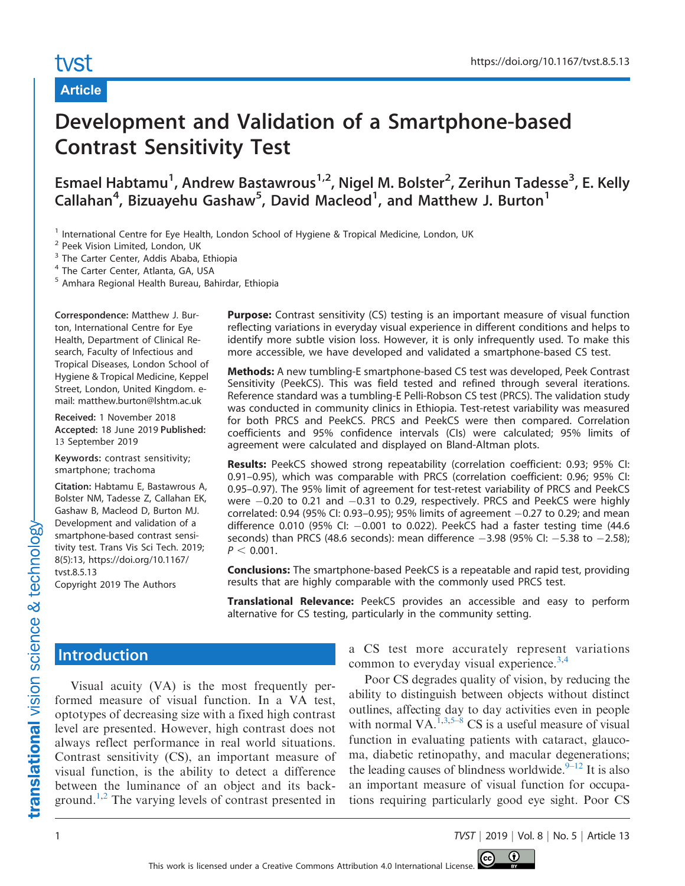# tyst

### Article

# Development and Validation of a Smartphone-based Contrast Sensitivity Test

Esmael Habtamu<sup>1</sup>, Andrew Bastawrous<sup>1,2</sup>, Nigel M. Bolster<sup>2</sup>, Zerihun Tadesse<sup>3</sup>, E. Kelly Callahan<sup>4</sup>, Bizuayehu Gashaw<sup>5</sup>, David Macleod<sup>1</sup>, and Matthew J. Burton<sup>1</sup>

<sup>1</sup> International Centre for Eye Health, London School of Hygiene & Tropical Medicine, London, UK

<sup>2</sup> Peek Vision Limited, London, UK

<sup>3</sup> The Carter Center, Addis Ababa, Ethiopia

<sup>4</sup> The Carter Center, Atlanta, GA, USA

<sup>5</sup> Amhara Regional Health Bureau, Bahirdar, Ethiopia

Correspondence: Matthew J. Burton, International Centre for Eye Health, Department of Clinical Research, Faculty of Infectious and Tropical Diseases, London School of Hygiene & Tropical Medicine, Keppel Street, London, United Kingdom. email: matthew.burton@lshtm.ac.uk

Received: 1 November 2018 Accepted: 18 June 2019 Published: 13 September 2019

Keywords: contrast sensitivity; smartphone; trachoma

Citation: Habtamu E, Bastawrous A, Bolster NM, Tadesse Z, Callahan EK, Gashaw B, Macleod D, Burton MJ. Development and validation of a smartphone-based contrast sensitivity test. Trans Vis Sci Tech. 2019; 8(5):13, https://doi.org/10.1167/ tvst.8.5.13

Copyright 2019 The Authors

**Purpose:** Contrast sensitivity (CS) testing is an important measure of visual function reflecting variations in everyday visual experience in different conditions and helps to identify more subtle vision loss. However, it is only infrequently used. To make this more accessible, we have developed and validated a smartphone-based CS test.

Methods: A new tumbling-E smartphone-based CS test was developed, Peek Contrast Sensitivity (PeekCS). This was field tested and refined through several iterations. Reference standard was a tumbling-E Pelli-Robson CS test (PRCS). The validation study was conducted in community clinics in Ethiopia. Test-retest variability was measured for both PRCS and PeekCS. PRCS and PeekCS were then compared. Correlation coefficients and 95% confidence intervals (CIs) were calculated; 95% limits of agreement were calculated and displayed on Bland-Altman plots.

Results: PeekCS showed strong repeatability (correlation coefficient: 0.93; 95% CI: 0.91–0.95), which was comparable with PRCS (correlation coefficient: 0.96; 95% CI: 0.95–0.97). The 95% limit of agreement for test-retest variability of PRCS and PeekCS were  $-0.20$  to 0.21 and  $-0.31$  to 0.29, respectively. PRCS and PeekCS were highly correlated: 0.94 (95% Cl: 0.93–0.95); 95% limits of agreement  $-$ 0.27 to 0.29; and mean difference 0.010 (95% CI: -0.001 to 0.022). PeekCS had a faster testing time (44.6 seconds) than PRCS (48.6 seconds): mean difference  $-3.98$  (95% CI:  $-5.38$  to  $-2.58$ );  $P < 0.001$ .

**Conclusions:** The smartphone-based PeekCS is a repeatable and rapid test, providing results that are highly comparable with the commonly used PRCS test.

Translational Relevance: PeekCS provides an accessible and easy to perform alternative for CS testing, particularly in the community setting.

## **Introduction**

Visual acuity (VA) is the most frequently performed measure of visual function. In a VA test, optotypes of decreasing size with a fixed high contrast level are presented. However, high contrast does not always reflect performance in real world situations. Contrast sensitivity (CS), an important measure of visual function, is the ability to detect a difference between the luminance of an object and its back-ground.<sup>[1,2](#page-8-0)</sup> The varying levels of contrast presented in

a CS test more accurately represent variations common to everyday visual experience. $3,4$ 

Poor CS degrades quality of vision, by reducing the ability to distinguish between objects without distinct outlines, affecting day to day activities even in people with normal VA.<sup>1,3,[5–8](#page-8-0)</sup> CS is a useful measure of visual function in evaluating patients with cataract, glaucoma, diabetic retinopathy, and macular degenerations; the leading causes of blindness worldwide. $9-12$  It is also an important measure of visual function for occupations requiring particularly good eye sight. Poor CS

1 TVST | 2019 | Vol. 8 | No. 5 | Article 13

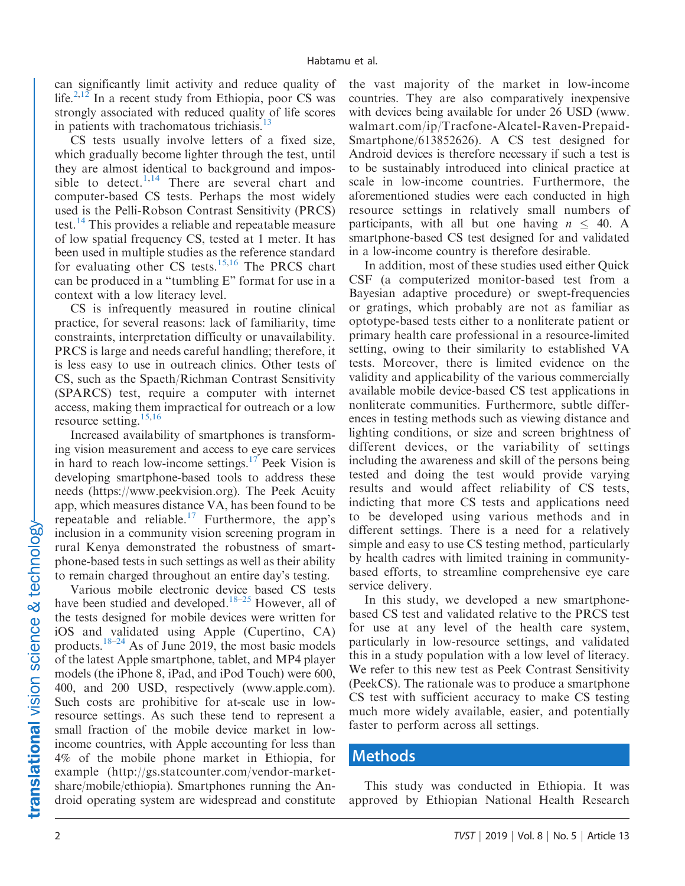can significantly limit activity and reduce quality of life. $2,12$  In a recent study from Ethiopia, poor CS was strongly associated with reduced quality of life scores in patients with trachomatous trichiasis. $13$ 

CS tests usually involve letters of a fixed size, which gradually become lighter through the test, until they are almost identical to background and impos-sible to detect.<sup>[1](#page-8-0),[14](#page-8-0)</sup> There are several chart and computer-based CS tests. Perhaps the most widely used is the Pelli-Robson Contrast Sensitivity (PRCS) test.<sup>[14](#page-8-0)</sup> This provides a reliable and repeatable measure of low spatial frequency CS, tested at 1 meter. It has been used in multiple studies as the reference standard for evaluating other CS tests.<sup>15,16</sup> The PRCS chart can be produced in a ''tumbling E'' format for use in a context with a low literacy level.

CS is infrequently measured in routine clinical practice, for several reasons: lack of familiarity, time constraints, interpretation difficulty or unavailability. PRCS is large and needs careful handling; therefore, it is less easy to use in outreach clinics. Other tests of CS, such as the Spaeth/Richman Contrast Sensitivity (SPARCS) test, require a computer with internet access, making them impractical for outreach or a low resource setting[.15,16](#page-8-0)

Increased availability of smartphones is transforming vision measurement and access to eye care services in hard to reach low-income settings.<sup>17</sup> Peek Vision is developing smartphone-based tools to address these needs (https://www.peekvision.org). The Peek Acuity app, which measures distance VA, has been found to be repeatable and reliable.<sup>[17](#page-8-0)</sup> Furthermore, the app's inclusion in a community vision screening program in rural Kenya demonstrated the robustness of smartphone-based tests in such settings as well as their ability to remain charged throughout an entire day's testing.

Various mobile electronic device based CS tests have been studied and developed.<sup>18–[25](#page-9-0)</sup> However, all of the tests designed for mobile devices were written for iOS and validated using Apple (Cupertino, CA) products.<sup>18[–24](#page-9-0)</sup> As of June 2019, the most basic models of the latest Apple smartphone, tablet, and MP4 player models (the iPhone 8, iPad, and iPod Touch) were 600, 400, and 200 USD, respectively (www.apple.com). Such costs are prohibitive for at-scale use in lowresource settings. As such these tend to represent a small fraction of the mobile device market in lowincome countries, with Apple accounting for less than 4% of the mobile phone market in Ethiopia, for example (http://gs.statcounter.com/vendor-marketshare/mobile/ethiopia). Smartphones running the Android operating system are widespread and constitute

the vast majority of the market in low-income countries. They are also comparatively inexpensive with devices being available for under 26 USD (www. walmart.com/ip/Tracfone-Alcatel-Raven-Prepaid-Smartphone/613852626). A CS test designed for Android devices is therefore necessary if such a test is to be sustainably introduced into clinical practice at scale in low-income countries. Furthermore, the aforementioned studies were each conducted in high resource settings in relatively small numbers of participants, with all but one having  $n \leq 40$ . A smartphone-based CS test designed for and validated in a low-income country is therefore desirable.

In addition, most of these studies used either Quick CSF (a computerized monitor-based test from a Bayesian adaptive procedure) or swept-frequencies or gratings, which probably are not as familiar as optotype-based tests either to a nonliterate patient or primary health care professional in a resource-limited setting, owing to their similarity to established VA tests. Moreover, there is limited evidence on the validity and applicability of the various commercially available mobile device-based CS test applications in nonliterate communities. Furthermore, subtle differences in testing methods such as viewing distance and lighting conditions, or size and screen brightness of different devices, or the variability of settings including the awareness and skill of the persons being tested and doing the test would provide varying results and would affect reliability of CS tests, indicting that more CS tests and applications need to be developed using various methods and in different settings. There is a need for a relatively simple and easy to use CS testing method, particularly by health cadres with limited training in communitybased efforts, to streamline comprehensive eye care service delivery.

In this study, we developed a new smartphonebased CS test and validated relative to the PRCS test for use at any level of the health care system, particularly in low-resource settings, and validated this in a study population with a low level of literacy. We refer to this new test as Peek Contrast Sensitivity (PeekCS). The rationale was to produce a smartphone CS test with sufficient accuracy to make CS testing much more widely available, easier, and potentially faster to perform across all settings.

#### Methods

This study was conducted in Ethiopia. It was approved by Ethiopian National Health Research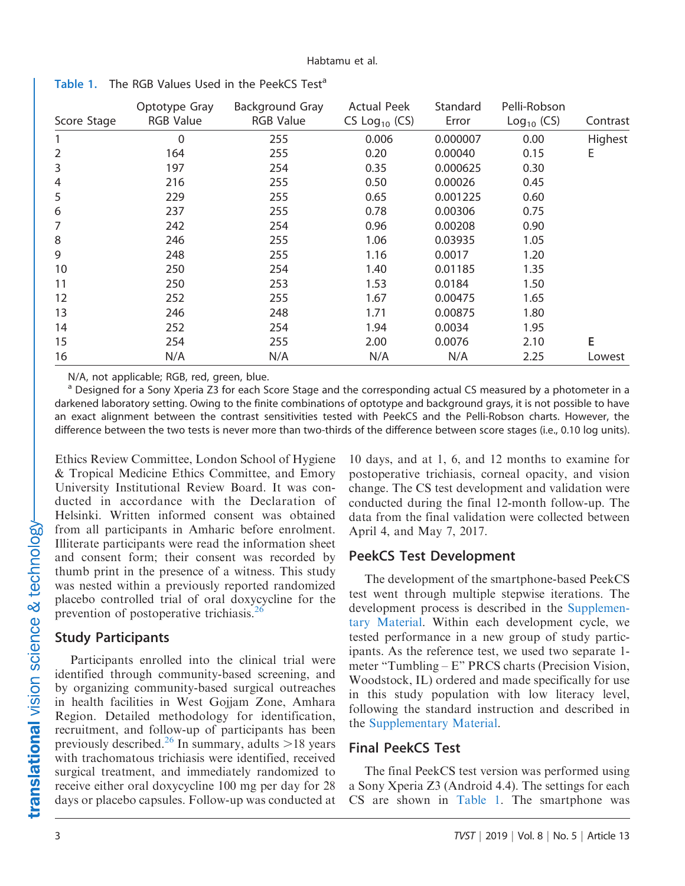|             | Optotype Gray    | Background Gray  | <b>Actual Peek</b>        | Standard | Pelli-Robson           |          |
|-------------|------------------|------------------|---------------------------|----------|------------------------|----------|
| Score Stage | <b>RGB Value</b> | <b>RGB Value</b> | CS Log <sub>10</sub> (CS) | Error    | Log <sub>10</sub> (CS) | Contrast |
|             | 0                | 255              | 0.006                     | 0.000007 | 0.00                   | Highest  |
| 2           | 164              | 255              | 0.20                      | 0.00040  | 0.15                   | Ε        |
| 3           | 197              | 254              | 0.35                      | 0.000625 | 0.30                   |          |
| 4           | 216              | 255              | 0.50                      | 0.00026  | 0.45                   |          |
| 5           | 229              | 255              | 0.65                      | 0.001225 | 0.60                   |          |
| 6           | 237              | 255              | 0.78                      | 0.00306  | 0.75                   |          |
| 7           | 242              | 254              | 0.96                      | 0.00208  | 0.90                   |          |
| 8           | 246              | 255              | 1.06                      | 0.03935  | 1.05                   |          |
| 9           | 248              | 255              | 1.16                      | 0.0017   | 1.20                   |          |
| 10          | 250              | 254              | 1.40                      | 0.01185  | 1.35                   |          |
| 11          | 250              | 253              | 1.53                      | 0.0184   | 1.50                   |          |
| 12          | 252              | 255              | 1.67                      | 0.00475  | 1.65                   |          |
| 13          | 246              | 248              | 1.71                      | 0.00875  | 1.80                   |          |
| 14          | 252              | 254              | 1.94                      | 0.0034   | 1.95                   |          |
| 15          | 254              | 255              | 2.00                      | 0.0076   | 2.10                   | E        |
| 16          | N/A              | N/A              | N/A                       | N/A      | 2.25                   | Lowest   |

Table 1. The RGB Values Used in the PeekCS Test<sup>a</sup>

N/A, not applicable; RGB, red, green, blue.

<sup>a</sup> Designed for a Sony Xperia Z3 for each Score Stage and the corresponding actual CS measured by a photometer in a darkened laboratory setting. Owing to the finite combinations of optotype and background grays, it is not possible to have an exact alignment between the contrast sensitivities tested with PeekCS and the Pelli-Robson charts. However, the difference between the two tests is never more than two-thirds of the difference between score stages (i.e., 0.10 log units).

Ethics Review Committee, London School of Hygiene & Tropical Medicine Ethics Committee, and Emory University Institutional Review Board. It was conducted in accordance with the Declaration of Helsinki. Written informed consent was obtained from all participants in Amharic before enrolment. Illiterate participants were read the information sheet and consent form; their consent was recorded by thumb print in the presence of a witness. This study was nested within a previously reported randomized placebo controlled trial of oral doxycycline for the prevention of postoperative trichiasis.<sup>[26](#page-9-0)</sup>

### Study Participants

Participants enrolled into the clinical trial were identified through community-based screening, and by organizing community-based surgical outreaches in health facilities in West Gojjam Zone, Amhara Region. Detailed methodology for identification, recruitment, and follow-up of participants has been previously described.<sup>26</sup> In summary, adults  $>18$  years with trachomatous trichiasis were identified, received surgical treatment, and immediately randomized to receive either oral doxycycline 100 mg per day for 28 days or placebo capsules. Follow-up was conducted at

10 days, and at 1, 6, and 12 months to examine for postoperative trichiasis, corneal opacity, and vision change. The CS test development and validation were conducted during the final 12-month follow-up. The data from the final validation were collected between April 4, and May 7, 2017.

#### PeekCS Test Development

The development of the smartphone-based PeekCS test went through multiple stepwise iterations. The development process is described in the [Supplemen](https://arvo.silverchair-cdn.com/arvo/content_public/journal/tvst/938184/tvst-08-04-34_s01.pdf?Expires=1568212355&Signature=AZu~13WOkaWzDjerMafHtCaU40ZQHjyz~FZaKe39BN9qj-n3~E8iq3RCYwKQ9v7t8CNl2TUir6n6NkU3PeYRwKfPvFbqIy9Frkiuap70YJ-iouZawpeUUCOJ0M7qg8~pU~SOhwDVui4oGwmUUGWOoqioFpluJkhkPfB4vVmi3V5Bv-32gX~HG3isAO3U1CBTwz2tOWuN~MfA2NDm4EfAEqkTn0am4kj~YuOvG1t68RQHJq99FWK1padizOJ6B5vV~LDU9YOPIlV~0VlT9-PJzRpSC451IRdTQXUV88fxeMHf9aght9AJ~1ErIczETiqdo-lsipZ22MA57a2yZu7KRg__&Key-Pair-Id=APKAIE5G5CRDK6RD3PGA)[tary Material](https://arvo.silverchair-cdn.com/arvo/content_public/journal/tvst/938184/tvst-08-04-34_s01.pdf?Expires=1568212355&Signature=AZu~13WOkaWzDjerMafHtCaU40ZQHjyz~FZaKe39BN9qj-n3~E8iq3RCYwKQ9v7t8CNl2TUir6n6NkU3PeYRwKfPvFbqIy9Frkiuap70YJ-iouZawpeUUCOJ0M7qg8~pU~SOhwDVui4oGwmUUGWOoqioFpluJkhkPfB4vVmi3V5Bv-32gX~HG3isAO3U1CBTwz2tOWuN~MfA2NDm4EfAEqkTn0am4kj~YuOvG1t68RQHJq99FWK1padizOJ6B5vV~LDU9YOPIlV~0VlT9-PJzRpSC451IRdTQXUV88fxeMHf9aght9AJ~1ErIczETiqdo-lsipZ22MA57a2yZu7KRg__&Key-Pair-Id=APKAIE5G5CRDK6RD3PGA). Within each development cycle, we tested performance in a new group of study participants. As the reference test, we used two separate 1 meter ''Tumbling – E'' PRCS charts (Precision Vision, Woodstock, IL) ordered and made specifically for use in this study population with low literacy level, following the standard instruction and described in the [Supplementary Material.](https://arvo.silverchair-cdn.com/arvo/content_public/journal/tvst/938184/tvst-08-04-34_s01.pdf?Expires=1568212355&Signature=AZu~13WOkaWzDjerMafHtCaU40ZQHjyz~FZaKe39BN9qj-n3~E8iq3RCYwKQ9v7t8CNl2TUir6n6NkU3PeYRwKfPvFbqIy9Frkiuap70YJ-iouZawpeUUCOJ0M7qg8~pU~SOhwDVui4oGwmUUGWOoqioFpluJkhkPfB4vVmi3V5Bv-32gX~HG3isAO3U1CBTwz2tOWuN~MfA2NDm4EfAEqkTn0am4kj~YuOvG1t68RQHJq99FWK1padizOJ6B5vV~LDU9YOPIlV~0VlT9-PJzRpSC451IRdTQXUV88fxeMHf9aght9AJ~1ErIczETiqdo-lsipZ22MA57a2yZu7KRg__&Key-Pair-Id=APKAIE5G5CRDK6RD3PGA)

### Final PeekCS Test

The final PeekCS test version was performed using a Sony Xperia Z3 (Android 4.4). The settings for each CS are shown in Table 1. The smartphone was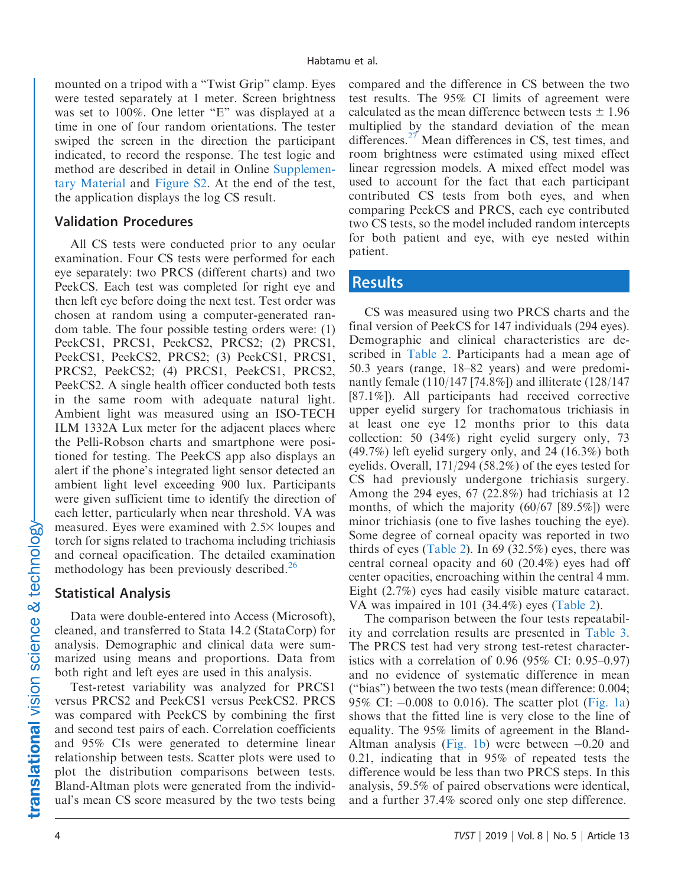mounted on a tripod with a "Twist Grip" clamp. Eyes were tested separately at 1 meter. Screen brightness was set to 100%. One letter "E" was displayed at a time in one of four random orientations. The tester swiped the screen in the direction the participant indicated, to record the response. The test logic and method are described in detail in Online [Supplemen](https://arvo.silverchair-cdn.com/arvo/content_public/journal/tvst/938184/tvst-08-04-34_s01.pdf?Expires=1568212355&Signature=AZu~13WOkaWzDjerMafHtCaU40ZQHjyz~FZaKe39BN9qj-n3~E8iq3RCYwKQ9v7t8CNl2TUir6n6NkU3PeYRwKfPvFbqIy9Frkiuap70YJ-iouZawpeUUCOJ0M7qg8~pU~SOhwDVui4oGwmUUGWOoqioFpluJkhkPfB4vVmi3V5Bv-32gX~HG3isAO3U1CBTwz2tOWuN~MfA2NDm4EfAEqkTn0am4kj~YuOvG1t68RQHJq99FWK1padizOJ6B5vV~LDU9YOPIlV~0VlT9-PJzRpSC451IRdTQXUV88fxeMHf9aght9AJ~1ErIczETiqdo-lsipZ22MA57a2yZu7KRg__&Key-Pair-Id=APKAIE5G5CRDK6RD3PGA)[tary Material](https://arvo.silverchair-cdn.com/arvo/content_public/journal/tvst/938184/tvst-08-04-34_s01.pdf?Expires=1568212355&Signature=AZu~13WOkaWzDjerMafHtCaU40ZQHjyz~FZaKe39BN9qj-n3~E8iq3RCYwKQ9v7t8CNl2TUir6n6NkU3PeYRwKfPvFbqIy9Frkiuap70YJ-iouZawpeUUCOJ0M7qg8~pU~SOhwDVui4oGwmUUGWOoqioFpluJkhkPfB4vVmi3V5Bv-32gX~HG3isAO3U1CBTwz2tOWuN~MfA2NDm4EfAEqkTn0am4kj~YuOvG1t68RQHJq99FWK1padizOJ6B5vV~LDU9YOPIlV~0VlT9-PJzRpSC451IRdTQXUV88fxeMHf9aght9AJ~1ErIczETiqdo-lsipZ22MA57a2yZu7KRg__&Key-Pair-Id=APKAIE5G5CRDK6RD3PGA) and [Figure S2.](https://arvo.silverchair-cdn.com/arvo/content_public/journal/tvst/938184/tvst-08-04-34_s03.pdf?Expires=1568212355&Signature=K4JYi6~yufaK1hP-PNzYOg8H~XMqylsfUMVZlFnTLTep3gHxZryKIhOvFMBlmu3lF2FmAGAwPn1c96YPDLY5~ckgtcxQ~c17MDXkxUUK-Vtx0xzHXtJYmIp4yAFXB53W1X6VeMEzEoKxxZpfc-w4a8ndfwUJ3Wr3vrXjKGo0fIu45dABaWlECf3KtUyKhmBrM7kXLdbnzM9L7wBGIhv5TG6pGdWw7SIJI~sNYmFYtWyyof~97QH~blNAhacW1IGUWM8vfS9HXnGZP1LHL3ElxcCFV7xXriPVjPpViaZ~0E~nzrXiMh4btxvoYaWhrlnsRug09sOy7tmWT6lx2IUnFQ__&Key-Pair-Id=APKAIE5G5CRDK6RD3PGA) At the end of the test, the application displays the log CS result.

#### Validation Procedures

All CS tests were conducted prior to any ocular examination. Four CS tests were performed for each eye separately: two PRCS (different charts) and two PeekCS. Each test was completed for right eye and then left eye before doing the next test. Test order was chosen at random using a computer-generated random table. The four possible testing orders were: (1) PeekCS1, PRCS1, PeekCS2, PRCS2; (2) PRCS1, PeekCS1, PeekCS2, PRCS2; (3) PeekCS1, PRCS1, PRCS2, PeekCS2; (4) PRCS1, PeekCS1, PRCS2, PeekCS2. A single health officer conducted both tests in the same room with adequate natural light. Ambient light was measured using an ISO-TECH ILM 1332A Lux meter for the adjacent places where the Pelli-Robson charts and smartphone were positioned for testing. The PeekCS app also displays an alert if the phone's integrated light sensor detected an ambient light level exceeding 900 lux. Participants were given sufficient time to identify the direction of each letter, particularly when near threshold. VA was measured. Eyes were examined with  $2.5\times$  loupes and torch for signs related to trachoma including trichiasis and corneal opacification. The detailed examination methodology has been previously described.<sup>[26](#page-9-0)</sup>

### Statistical Analysis

Data were double-entered into Access (Microsoft), cleaned, and transferred to Stata 14.2 (StataCorp) for analysis. Demographic and clinical data were summarized using means and proportions. Data from both right and left eyes are used in this analysis.

Test-retest variability was analyzed for PRCS1 versus PRCS2 and PeekCS1 versus PeekCS2. PRCS was compared with PeekCS by combining the first and second test pairs of each. Correlation coefficients and 95% CIs were generated to determine linear relationship between tests. Scatter plots were used to plot the distribution comparisons between tests. Bland-Altman plots were generated from the individual's mean CS score measured by the two tests being compared and the difference in CS between the two test results. The 95% CI limits of agreement were calculated as the mean difference between tests  $\pm$  1.96 multiplied by the standard deviation of the mean differences. $27$  Mean differences in CS, test times, and room brightness were estimated using mixed effect linear regression models. A mixed effect model was used to account for the fact that each participant contributed CS tests from both eyes, and when comparing PeekCS and PRCS, each eye contributed two CS tests, so the model included random intercepts for both patient and eye, with eye nested within patient.

## **Results**

CS was measured using two PRCS charts and the final version of PeekCS for 147 individuals (294 eyes). Demographic and clinical characteristics are described in [Table 2.](#page-4-0) Participants had a mean age of 50.3 years (range, 18–82 years) and were predominantly female (110/147 [74.8%]) and illiterate (128/147 [87.1%]). All participants had received corrective upper eyelid surgery for trachomatous trichiasis in at least one eye 12 months prior to this data collection: 50 (34%) right eyelid surgery only, 73 (49.7%) left eyelid surgery only, and 24 (16.3%) both eyelids. Overall, 171/294 (58.2%) of the eyes tested for CS had previously undergone trichiasis surgery. Among the 294 eyes, 67 (22.8%) had trichiasis at 12 months, of which the majority (60/67 [89.5%]) were minor trichiasis (one to five lashes touching the eye). Some degree of corneal opacity was reported in two thirds of eyes [\(Table 2\)](#page-4-0). In 69 (32.5%) eyes, there was central corneal opacity and 60 (20.4%) eyes had off center opacities, encroaching within the central 4 mm. Eight (2.7%) eyes had easily visible mature cataract. VA was impaired in 101 (34.4%) eyes ([Table 2\)](#page-4-0).

The comparison between the four tests repeatability and correlation results are presented in [Table 3](#page-5-0). The PRCS test had very strong test-retest characteristics with a correlation of 0.96 (95% CI: 0.95–0.97) and no evidence of systematic difference in mean (''bias'') between the two tests (mean difference: 0.004; 95% CI: -0.008 to 0.016). The scatter plot [\(Fig. 1a](#page-6-0)) shows that the fitted line is very close to the line of equality. The 95% limits of agreement in the Bland-Altman analysis ([Fig. 1b](#page-6-0)) were between  $-0.20$  and 0.21, indicating that in 95% of repeated tests the difference would be less than two PRCS steps. In this analysis, 59.5% of paired observations were identical, and a further 37.4% scored only one step difference.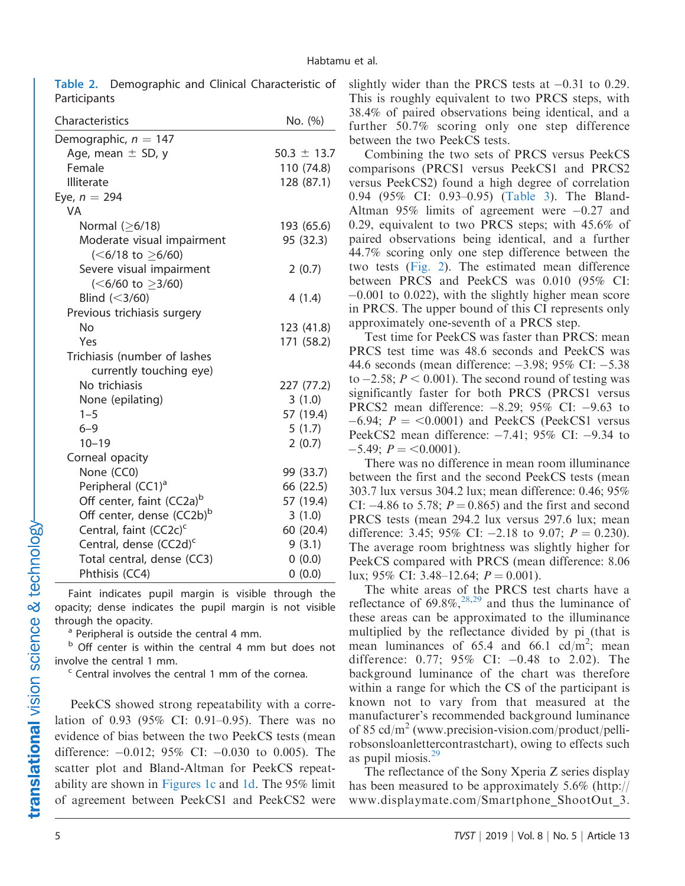<span id="page-4-0"></span>

|              | Table 2. Demographic and Clinical Characteristic of |  |  |
|--------------|-----------------------------------------------------|--|--|
| Participants |                                                     |  |  |

| Characteristics                       | No. (%)         |  |  |
|---------------------------------------|-----------------|--|--|
| Demographic, $n = 147$                |                 |  |  |
| Age, mean $\pm$ SD, y                 | $50.3 \pm 13.7$ |  |  |
| Female                                | 110 (74.8)      |  |  |
| <b>Illiterate</b>                     | 128 (87.1)      |  |  |
| Eye, $n = 294$                        |                 |  |  |
| VA                                    |                 |  |  |
| Normal $(≥6/18)$                      | 193 (65.6)      |  |  |
| Moderate visual impairment            | 95 (32.3)       |  |  |
| ( <b>6/18</b> to <b>≥6/60</b> )       |                 |  |  |
| Severe visual impairment              | 2(0.7)          |  |  |
| $(6/60 to \geq3/60)$                  |                 |  |  |
| Blind $(<3/60)$                       | 4(1.4)          |  |  |
| Previous trichiasis surgery           |                 |  |  |
| No                                    | 123 (41.8)      |  |  |
| Yes                                   | 171 (58.2)      |  |  |
| Trichiasis (number of lashes          |                 |  |  |
| currently touching eye)               |                 |  |  |
| No trichiasis                         | 227 (77.2)      |  |  |
| None (epilating)                      | 3(1.0)          |  |  |
| $1 - 5$                               | 57 (19.4)       |  |  |
| $6 - 9$                               | 5(1.7)          |  |  |
| $10 - 19$                             | 2(0.7)          |  |  |
| Corneal opacity                       |                 |  |  |
| None (CC0)                            | 99 (33.7)       |  |  |
| Peripheral (CC1) <sup>a</sup>         | 66 (22.5)       |  |  |
| Off center, faint (CC2a) <sup>b</sup> | 57 (19.4)       |  |  |
| Off center, dense (CC2b) <sup>b</sup> | 3(1.0)          |  |  |
| Central, faint (CC2c) <sup>c</sup>    | 60 (20.4)       |  |  |
| Central, dense (CC2d) <sup>c</sup>    | 9(3.1)          |  |  |
| Total central, dense (CC3)            | 0(0.0)          |  |  |
| Phthisis (CC4)                        | 0(0.0)          |  |  |

Faint indicates pupil margin is visible through the opacity; dense indicates the pupil margin is not visible through the opacity.<br><sup>a</sup> Peripheral is outside the central 4 mm.

b Off center is within the central 4 mm but does not involve the central 1 mm.<br><sup>c</sup> Central involves the central 1 mm of the cornea.

PeekCS showed strong repeatability with a correlation of 0.93 (95% CI: 0.91–0.95). There was no evidence of bias between the two PeekCS tests (mean difference: -0.012; 95% CI: -0.030 to 0.005). The scatter plot and Bland-Altman for PeekCS repeatability are shown in [Figures 1c](#page-6-0) and [1d](#page-6-0). The 95% limit of agreement between PeekCS1 and PeekCS2 were

slightly wider than the PRCS tests at  $-0.31$  to 0.29. This is roughly equivalent to two PRCS steps, with 38.4% of paired observations being identical, and a further 50.7% scoring only one step difference between the two PeekCS tests.

Combining the two sets of PRCS versus PeekCS comparisons (PRCS1 versus PeekCS1 and PRCS2 versus PeekCS2) found a high degree of correlation 0.94 (95% CI: 0.93–0.95) [\(Table 3\)](#page-5-0). The Bland-Altman  $95\%$  limits of agreement were  $-0.27$  and 0.29, equivalent to two PRCS steps; with 45.6% of paired observations being identical, and a further 44.7% scoring only one step difference between the two tests ([Fig. 2](#page-6-0)). The estimated mean difference between PRCS and PeekCS was 0.010 (95% CI: -0.001 to 0.022), with the slightly higher mean score in PRCS. The upper bound of this CI represents only approximately one-seventh of a PRCS step.

Test time for PeekCS was faster than PRCS: mean PRCS test time was 48.6 seconds and PeekCS was 44.6 seconds (mean difference: -3.98; 95% CI: -5.38 to  $-2.58$ ;  $P < 0.001$ ). The second round of testing was significantly faster for both PRCS (PRCS1 versus PRCS2 mean difference: -8.29; 95% CI: -9.63 to  $-6.94$ ;  $P = \langle 0.0001 \rangle$  and PeekCS (PeekCS1 versus PeekCS2 mean difference:  $-7.41$ ; 95% CI:  $-9.34$  to  $-5.49; P = <0.0001$ ).

There was no difference in mean room illuminance between the first and the second PeekCS tests (mean 303.7 lux versus 304.2 lux; mean difference: 0.46; 95% CI:  $-4.86$  to 5.78;  $P = 0.865$ ) and the first and second PRCS tests (mean 294.2 lux versus 297.6 lux; mean difference: 3.45; 95% CI:  $-2.18$  to 9.07;  $P = 0.230$ ). The average room brightness was slightly higher for PeekCS compared with PRCS (mean difference: 8.06 lux;  $95\%$  CI: 3.48-12.64;  $P = 0.001$ ).

The white areas of the PRCS test charts have a reflectance of  $69.8\%,^{28,29}$  $69.8\%,^{28,29}$  $69.8\%,^{28,29}$  $69.8\%,^{28,29}$  $69.8\%,^{28,29}$  and thus the luminance of these areas can be approximated to the illuminance multiplied by the reflectance divided by pi (that is mean luminances of 65.4 and 66.1  $cd/m^2$ ; mean difference: 0.77; 95% CI: -0.48 to 2.02). The background luminance of the chart was therefore within a range for which the CS of the participant is known not to vary from that measured at the manufacturer's recommended background luminance of 85 cd/m<sup>2</sup> (www.precision-vision.com/product/pellirobsonsloanlettercontrastchart), owing to effects such as pupil miosis. $29$ 

The reflectance of the Sony Xperia Z series display has been measured to be approximately 5.6% (http:// www.displaymate.com/Smartphone\_ShootOut\_3.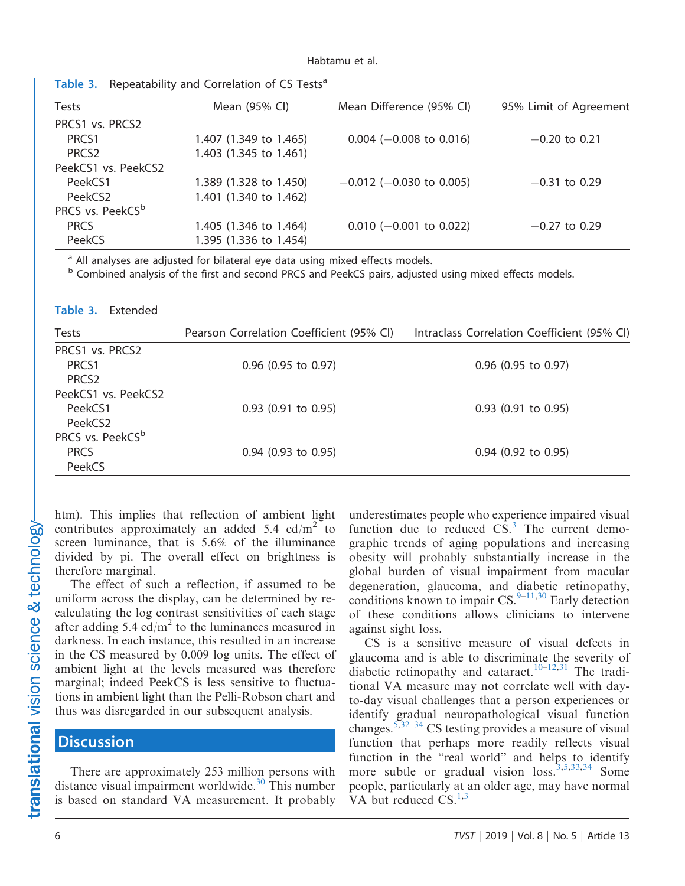| <b>Tests</b>                 | Mean (95% CI)          | Mean Difference (95% CI)      | 95% Limit of Agreement |
|------------------------------|------------------------|-------------------------------|------------------------|
| PRCS1 vs. PRCS2              |                        |                               |                        |
| PRC <sub>S1</sub>            | 1.407 (1.349 to 1.465) | $0.004$ (-0.008 to 0.016)     | $-0.20$ to 0.21        |
| PRCS <sub>2</sub>            | 1.403 (1.345 to 1.461) |                               |                        |
| PeekCS1 vs. PeekCS2          |                        |                               |                        |
| PeekCS1                      | 1.389 (1.328 to 1.450) | $-0.012$ ( $-0.030$ to 0.005) | $-0.31$ to 0.29        |
| PeekCS2                      | 1.401 (1.340 to 1.462) |                               |                        |
| PRCS vs. PeekCS <sup>b</sup> |                        |                               |                        |
| <b>PRCS</b>                  | 1.405 (1.346 to 1.464) | $0.010$ (-0.001 to 0.022)     | $-0.27$ to 0.29        |
| PeekCS                       | 1.395 (1.336 to 1.454) |                               |                        |

<span id="page-5-0"></span>

| Table 3. Repeatability and Correlation of CS Tests <sup>a</sup> |  |  |  |
|-----------------------------------------------------------------|--|--|--|
|                                                                 |  |  |  |

<sup>a</sup> All analyses are adjusted for bilateral eye data using mixed effects models.

<sup>b</sup> Combined analysis of the first and second PRCS and PeekCS pairs, adjusted using mixed effects models.

#### Table 3. Extended

| <b>Tests</b>                 | Pearson Correlation Coefficient (95% CI) | Intraclass Correlation Coefficient (95% CI) |  |  |
|------------------------------|------------------------------------------|---------------------------------------------|--|--|
| PRCS1 vs. PRCS2              |                                          |                                             |  |  |
| PRC <sub>S1</sub>            | $0.96$ (0.95 to 0.97)                    | $0.96$ (0.95 to 0.97)                       |  |  |
| PRCS <sub>2</sub>            |                                          |                                             |  |  |
| PeekCS1 vs. PeekCS2          |                                          |                                             |  |  |
| PeekCS1                      | $0.93$ (0.91 to 0.95)                    | $0.93$ (0.91 to 0.95)                       |  |  |
| PeekCS2                      |                                          |                                             |  |  |
| PRCS vs. PeekCS <sup>b</sup> |                                          |                                             |  |  |
| <b>PRCS</b>                  | $0.94$ (0.93 to 0.95)                    | $0.94$ (0.92 to 0.95)                       |  |  |
| PeekCS                       |                                          |                                             |  |  |

htm). This implies that reflection of ambient light contributes approximately an added 5.4  $cd/m^2$  to screen luminance, that is 5.6% of the illuminance divided by pi. The overall effect on brightness is therefore marginal.

The effect of such a reflection, if assumed to be uniform across the display, can be determined by recalculating the log contrast sensitivities of each stage after adding 5.4  $c\bar{d}/m^2$  to the luminances measured in darkness. In each instance, this resulted in an increase in the CS measured by 0.009 log units. The effect of ambient light at the levels measured was therefore marginal; indeed PeekCS is less sensitive to fluctuations in ambient light than the Pelli-Robson chart and thus was disregarded in our subsequent analysis.

## **Discussion**

There are approximately 253 million persons with distance visual impairment worldwide.<sup>[30](#page-9-0)</sup> This number is based on standard VA measurement. It probably underestimates people who experience impaired visual function due to reduced  $CS<sup>3</sup>$  $CS<sup>3</sup>$  $CS<sup>3</sup>$ . The current demographic trends of aging populations and increasing obesity will probably substantially increase in the global burden of visual impairment from macular degeneration, glaucoma, and diabetic retinopathy, conditions known to impair  $CS$ <sup>[9–11](#page-8-0),[30](#page-9-0)</sup> Early detection of these conditions allows clinicians to intervene against sight loss.

CS is a sensitive measure of visual defects in glaucoma and is able to discriminate the severity of diabetic retinopathy and cataract.<sup>10–12,[31](#page-9-0)</sup> The traditional VA measure may not correlate well with dayto-day visual challenges that a person experiences or identify gradual neuropathological visual function changes.  $5,32-34$  $5,32-34$  CS testing provides a measure of visual function that perhaps more readily reflects visual function in the "real world" and helps to identify more subtle or gradual vision loss.<sup>[3,5](#page-8-0)[,33,34](#page-9-0)</sup> Some people, particularly at an older age, may have normal VA but reduced CS.<sup>1,3</sup>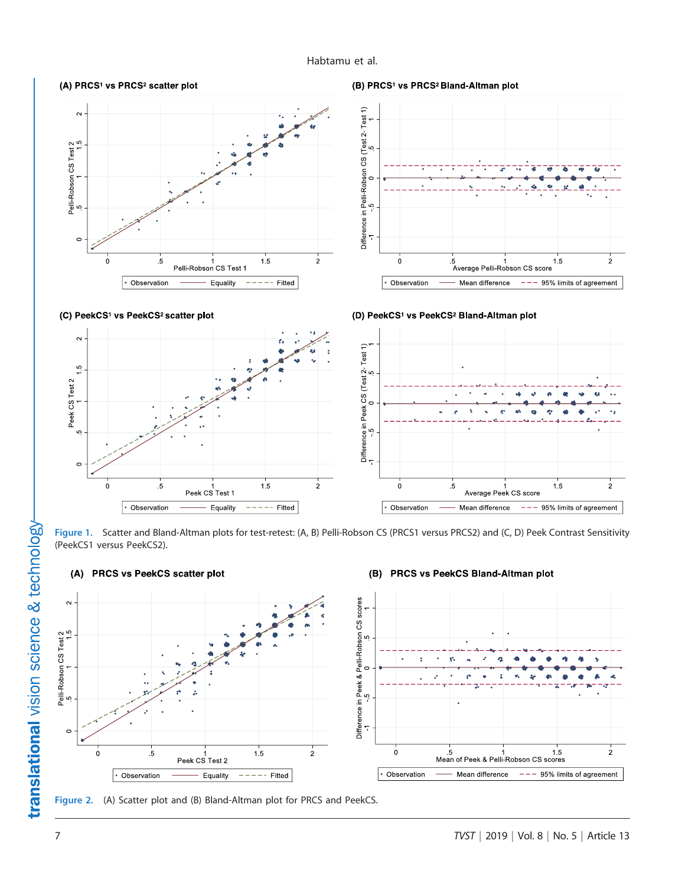#### Habtamu et al.

<span id="page-6-0"></span>

(C) PeekCS<sup>1</sup> vs PeekCS<sup>2</sup> scatter plot

(B) PRCS<sup>1</sup> vs PRCS<sup>2</sup> Bland-Altman plot









Figure 1. Scatter and Bland-Altman plots for test-retest: (A, B) Pelli-Robson CS (PRCS1 versus PRCS2) and (C, D) Peek Contrast Sensitivity (PeekCS1 versus PeekCS2).



Figure 2. (A) Scatter plot and (B) Bland-Altman plot for PRCS and PeekCS.

PRCS vs PeekCS Bland-Altman plot  $(B)$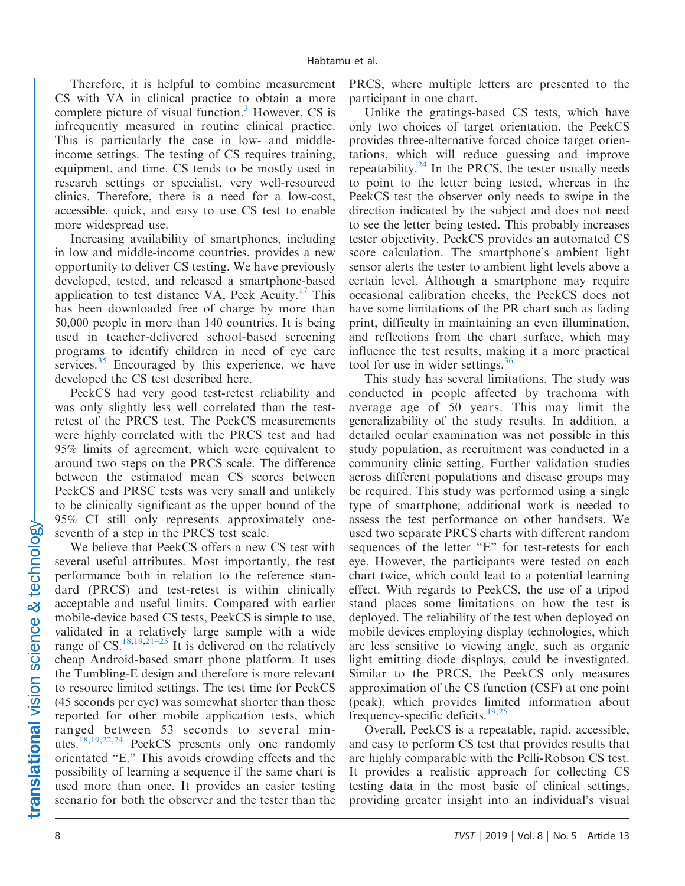Therefore, it is helpful to combine measurement CS with VA in clinical practice to obtain a more complete picture of visual function. $3$  However, CS is infrequently measured in routine clinical practice. This is particularly the case in low- and middleincome settings. The testing of CS requires training, equipment, and time. CS tends to be mostly used in research settings or specialist, very well-resourced clinics. Therefore, there is a need for a low-cost, accessible, quick, and easy to use CS test to enable more widespread use.

Increasing availability of smartphones, including in low and middle-income countries, provides a new opportunity to deliver CS testing. We have previously developed, tested, and released a smartphone-based application to test distance VA, Peek Acuity.<sup>[17](#page-8-0)</sup> This has been downloaded free of charge by more than 50,000 people in more than 140 countries. It is being used in teacher-delivered school-based screening programs to identify children in need of eye care services. $35$  Encouraged by this experience, we have developed the CS test described here.

PeekCS had very good test-retest reliability and was only slightly less well correlated than the testretest of the PRCS test. The PeekCS measurements were highly correlated with the PRCS test and had 95% limits of agreement, which were equivalent to around two steps on the PRCS scale. The difference between the estimated mean CS scores between PeekCS and PRSC tests was very small and unlikely to be clinically significant as the upper bound of the 95% CI still only represents approximately oneseventh of a step in the PRCS test scale.

We believe that PeekCS offers a new CS test with several useful attributes. Most importantly, the test performance both in relation to the reference standard (PRCS) and test-retest is within clinically acceptable and useful limits. Compared with earlier mobile-device based CS tests, PeekCS is simple to use, validated in a relatively large sample with a wide range of  $CS$ .<sup>[18](#page-8-0),[19,21](#page-8-0)[–25](#page-9-0)</sup> It is delivered on the relatively cheap Android-based smart phone platform. It uses the Tumbling-E design and therefore is more relevant to resource limited settings. The test time for PeekCS (45 seconds per eye) was somewhat shorter than those reported for other mobile application tests, which ranged between 53 seconds to several min-utes.<sup>[18,19,22,](#page-8-0)[24](#page-9-0)</sup> PeekCS presents only one randomly orientated ''E.'' This avoids crowding effects and the possibility of learning a sequence if the same chart is used more than once. It provides an easier testing scenario for both the observer and the tester than the

PRCS, where multiple letters are presented to the participant in one chart.

Unlike the gratings-based CS tests, which have only two choices of target orientation, the PeekCS provides three-alternative forced choice target orientations, which will reduce guessing and improve repeatability. $24$  In the PRCS, the tester usually needs to point to the letter being tested, whereas in the PeekCS test the observer only needs to swipe in the direction indicated by the subject and does not need to see the letter being tested. This probably increases tester objectivity. PeekCS provides an automated CS score calculation. The smartphone's ambient light sensor alerts the tester to ambient light levels above a certain level. Although a smartphone may require occasional calibration checks, the PeekCS does not have some limitations of the PR chart such as fading print, difficulty in maintaining an even illumination, and reflections from the chart surface, which may influence the test results, making it a more practical tool for use in wider settings. $36$ 

This study has several limitations. The study was conducted in people affected by trachoma with average age of 50 years. This may limit the generalizability of the study results. In addition, a detailed ocular examination was not possible in this study population, as recruitment was conducted in a community clinic setting. Further validation studies across different populations and disease groups may be required. This study was performed using a single type of smartphone; additional work is needed to assess the test performance on other handsets. We used two separate PRCS charts with different random sequences of the letter "E" for test-retests for each eye. However, the participants were tested on each chart twice, which could lead to a potential learning effect. With regards to PeekCS, the use of a tripod stand places some limitations on how the test is deployed. The reliability of the test when deployed on mobile devices employing display technologies, which are less sensitive to viewing angle, such as organic light emitting diode displays, could be investigated. Similar to the PRCS, the PeekCS only measures approximation of the CS function (CSF) at one point (peak), which provides limited information about frequency-specific deficits.<sup>[19,](#page-8-0)[25](#page-9-0)</sup>

Overall, PeekCS is a repeatable, rapid, accessible, and easy to perform CS test that provides results that are highly comparable with the Pelli-Robson CS test. It provides a realistic approach for collecting CS testing data in the most basic of clinical settings, providing greater insight into an individual's visual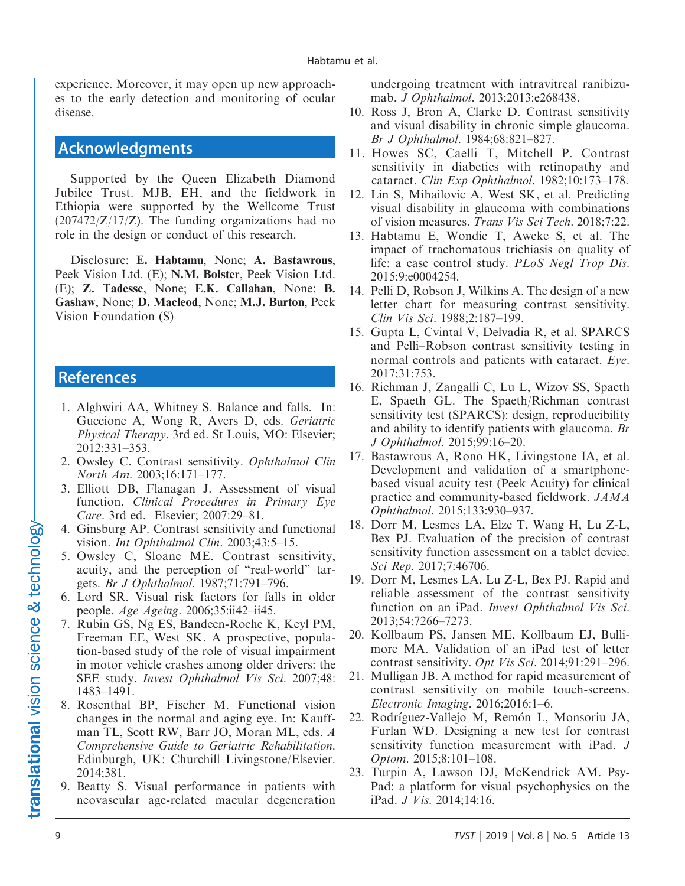<span id="page-8-0"></span>experience. Moreover, it may open up new approaches to the early detection and monitoring of ocular disease.

## Acknowledgments

Supported by the Queen Elizabeth Diamond Jubilee Trust. MJB, EH, and the fieldwork in Ethiopia were supported by the Wellcome Trust  $(207472/Z/17/Z)$ . The funding organizations had no role in the design or conduct of this research.

Disclosure: E. Habtamu, None; A. Bastawrous, Peek Vision Ltd. (E); N.M. Bolster, Peek Vision Ltd. (E); Z. Tadesse, None; E.K. Callahan, None; B. Gashaw, None; D. Macleod, None; M.J. Burton, Peek Vision Foundation (S)

## **References**

- 1. Alghwiri AA, Whitney S. Balance and falls. In: Guccione A, Wong R, Avers D, eds. Geriatric Physical Therapy. 3rd ed. St Louis, MO: Elsevier; 2012:331–353.
- 2. Owsley C. Contrast sensitivity. Ophthalmol Clin North Am. 2003;16:171–177.
- 3. Elliott DB, Flanagan J. Assessment of visual function. Clinical Procedures in Primary Eye Care. 3rd ed. Elsevier; 2007:29–81.
- 4. Ginsburg AP. Contrast sensitivity and functional vision. Int Ophthalmol Clin. 2003;43:5–15.
- 5. Owsley C, Sloane ME. Contrast sensitivity, acuity, and the perception of ''real-world'' targets. Br J Ophthalmol. 1987;71:791–796.
- 6. Lord SR. Visual risk factors for falls in older people. Age Ageing. 2006;35:ii42–ii45.
- 7. Rubin GS, Ng ES, Bandeen-Roche K, Keyl PM, Freeman EE, West SK. A prospective, population-based study of the role of visual impairment in motor vehicle crashes among older drivers: the SEE study. Invest Ophthalmol Vis Sci. 2007;48: 1483–1491.
- 8. Rosenthal BP, Fischer M. Functional vision changes in the normal and aging eye. In: Kauffman TL, Scott RW, Barr JO, Moran ML, eds. A Comprehensive Guide to Geriatric Rehabilitation. Edinburgh, UK: Churchill Livingstone/Elsevier. 2014;381.
- 9. Beatty S. Visual performance in patients with neovascular age-related macular degeneration

undergoing treatment with intravitreal ranibizumab. J Ophthalmol. 2013;2013:e268438.

- 10. Ross J, Bron A, Clarke D. Contrast sensitivity and visual disability in chronic simple glaucoma. Br J Ophthalmol. 1984;68:821–827.
- 11. Howes SC, Caelli T, Mitchell P. Contrast sensitivity in diabetics with retinopathy and cataract. Clin Exp Ophthalmol. 1982;10:173–178.
- 12. Lin S, Mihailovic A, West SK, et al. Predicting visual disability in glaucoma with combinations of vision measures. Trans Vis Sci Tech. 2018;7:22.
- 13. Habtamu E, Wondie T, Aweke S, et al. The impact of trachomatous trichiasis on quality of life: a case control study. PLoS Negl Trop Dis. 2015;9:e0004254.
- 14. Pelli D, Robson J, Wilkins A. The design of a new letter chart for measuring contrast sensitivity. Clin Vis Sci. 1988;2:187–199.
- 15. Gupta L, Cvintal V, Delvadia R, et al. SPARCS and Pelli–Robson contrast sensitivity testing in normal controls and patients with cataract. Eye. 2017;31:753.
- 16. Richman J, Zangalli C, Lu L, Wizov SS, Spaeth E, Spaeth GL. The Spaeth/Richman contrast sensitivity test (SPARCS): design, reproducibility and ability to identify patients with glaucoma. Br J Ophthalmol. 2015;99:16–20.
- 17. Bastawrous A, Rono HK, Livingstone IA, et al. Development and validation of a smartphonebased visual acuity test (Peek Acuity) for clinical practice and community-based fieldwork. JAMA Ophthalmol. 2015;133:930–937.
- 18. Dorr M, Lesmes LA, Elze T, Wang H, Lu Z-L, Bex PJ. Evaluation of the precision of contrast sensitivity function assessment on a tablet device. Sci Rep. 2017;7:46706.
- 19. Dorr M, Lesmes LA, Lu Z-L, Bex PJ. Rapid and reliable assessment of the contrast sensitivity function on an iPad. Invest Ophthalmol Vis Sci. 2013;54:7266–7273.
- 20. Kollbaum PS, Jansen ME, Kollbaum EJ, Bullimore MA. Validation of an iPad test of letter contrast sensitivity. Opt Vis Sci. 2014;91:291–296.
- 21. Mulligan JB. A method for rapid measurement of contrast sensitivity on mobile touch-screens. Electronic Imaging. 2016;2016:1–6.
- 22. Rodríguez-Vallejo M, Remón L, Monsoriu JA, Furlan WD. Designing a new test for contrast sensitivity function measurement with iPad. J Optom. 2015;8:101–108.
- 23. Turpin A, Lawson DJ, McKendrick AM. Psy-Pad: a platform for visual psychophysics on the iPad. J Vis. 2014;14:16.